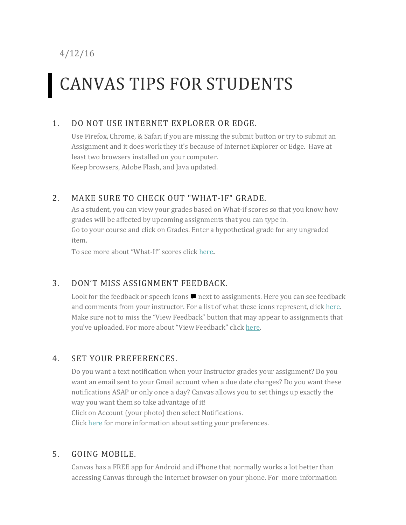4/12/16

# CANVAS TIPS FOR STUDENTS

## 1. DO NOT USE INTERNET EXPLORER OR EDGE.

Use Firefox, Chrome, & Safari if you are missing the submit button or try to submit an Assignment and it does work they it's because of Internet Explorer or Edge. Have at least two browsers installed on your computer. Keep browsers, Adobe Flash, and Java updated.

## 2. MAKE SURE TO CHECK OUT "WHAT-IF" GRADE.

As a student, you can view your grades based on What-if scores so that you know how grades will be affected by upcoming assignments that you can type in. Go to your course and click on Grades. Enter a hypothetical grade for any ungraded item.

To see more about "What-If" scores click [here](https://community.canvaslms.com/docs/DOC-3151).

## 3. DON'T MISS ASSIGNMENT FEEDBACK.

Look for the feedback or speech icons  $\blacksquare$  next to assignments. Here you can see feedback and comments from your instructor. For a list of what these icons represent, clic[k here.](https://community.canvaslms.com/docs/DOC-3150) Make sure not to miss the "View Feedback" button that may appear to assignments that you've uploaded. For more about "View Feedback" click [here.](https://community.canvaslms.com/docs/DOC-3550)

#### 4. SET YOUR PREFERENCES.

Do you want a text notification when your Instructor grades your assignment? Do you want an email sent to your Gmail account when a due date changes? Do you want these notifications ASAP or only once a day? Canvas allows you to set things up exactly the way you want them so take advantage of it!

Click on Account (your photo) then select Notifications.

Click [here](https://community.canvaslms.com/docs/DOC-1286) for more information about setting your preferences.

## 5. GOING MOBILE.

Canvas has a FREE app for Android and iPhone that normally works a lot better than accessing Canvas through the internet browser on your phone. For more information